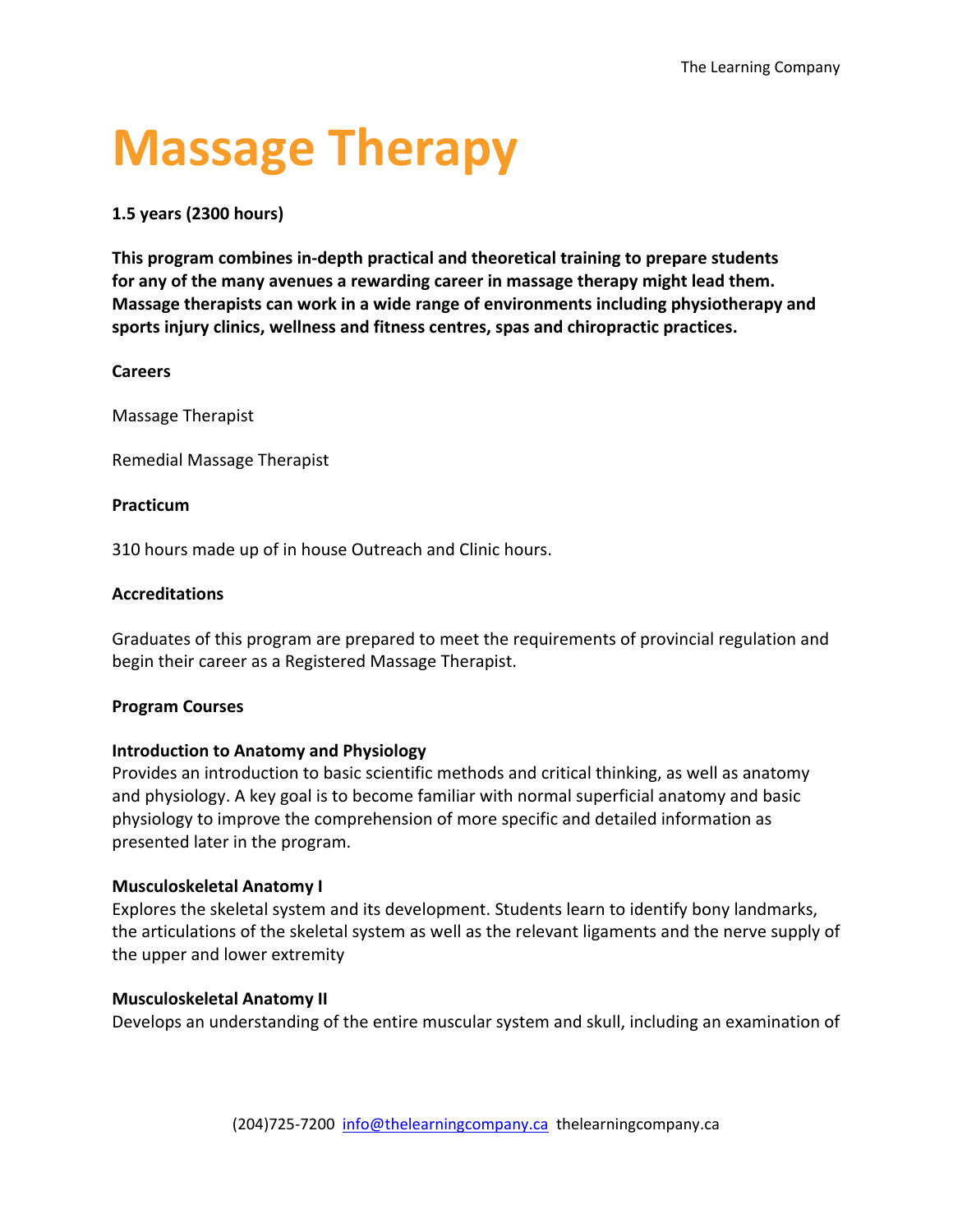# **Massage Therapy**

# **1.5 years (2300 hours)**

**This program combines in-depth practical and theoretical training to prepare students for any of the many avenues a rewarding career in massage therapy might lead them. Massage therapists can work in a wide range of environments including physiotherapy and sports injury clinics, wellness and fitness centres, spas and chiropractic practices.**

# **Careers**

Massage Therapist

Remedial Massage Therapist

# **Practicum**

310 hours made up of in house Outreach and Clinic hours.

# **Accreditations**

Graduates of this program are prepared to meet the requirements of provincial regulation and begin their career as a Registered Massage Therapist.

## **Program Courses**

# **Introduction to Anatomy and Physiology**

Provides an introduction to basic scientific methods and critical thinking, as well as anatomy and physiology. A key goal is to become familiar with normal superficial anatomy and basic physiology to improve the comprehension of more specific and detailed information as presented later in the program.

# **Musculoskeletal Anatomy I**

Explores the skeletal system and its development. Students learn to identify bony landmarks, the articulations of the skeletal system as well as the relevant ligaments and the nerve supply of the upper and lower extremity

## **Musculoskeletal Anatomy II**

Develops an understanding of the entire muscular system and skull, including an examination of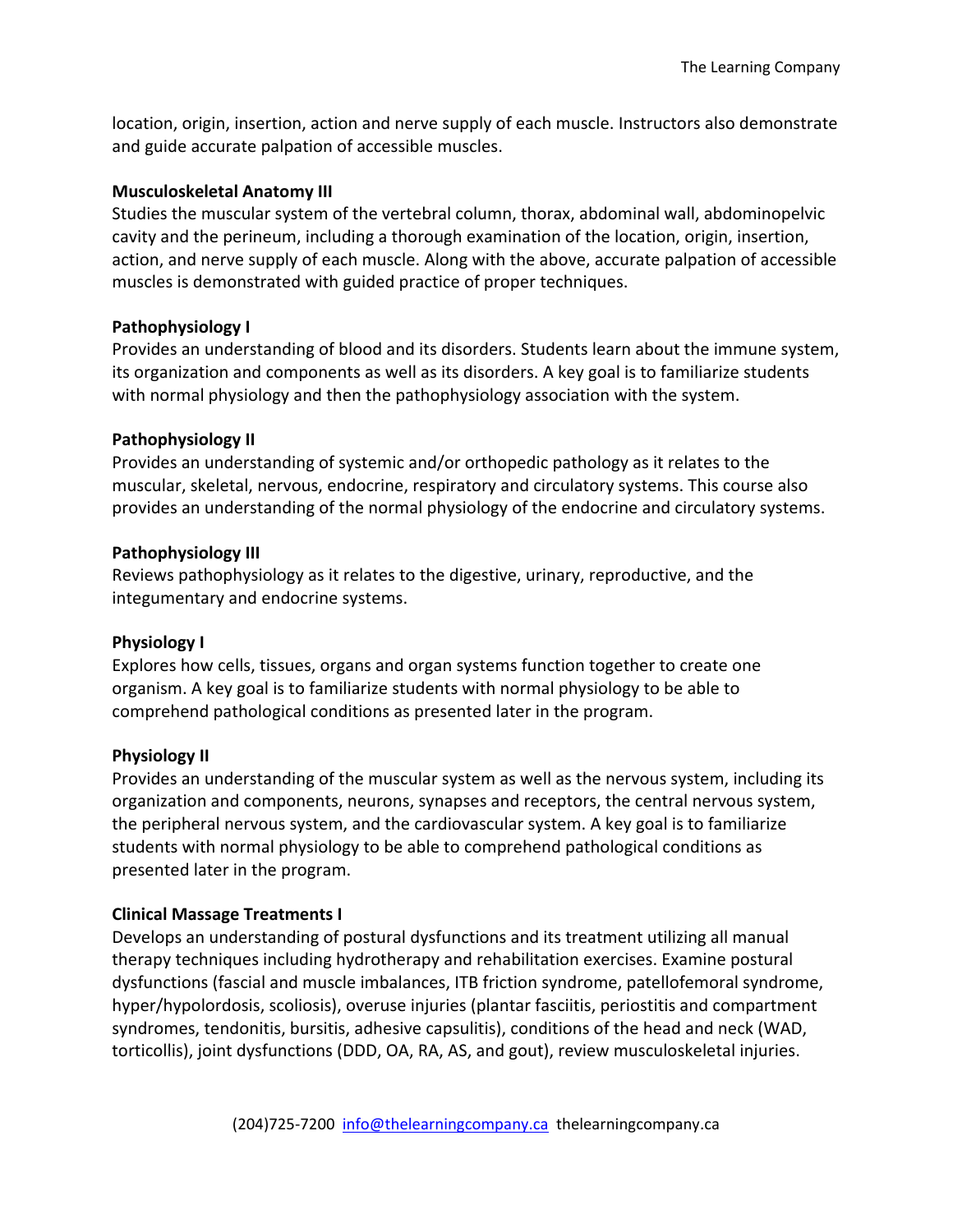location, origin, insertion, action and nerve supply of each muscle. Instructors also demonstrate and guide accurate palpation of accessible muscles.

#### **Musculoskeletal Anatomy III**

Studies the muscular system of the vertebral column, thorax, abdominal wall, abdominopelvic cavity and the perineum, including a thorough examination of the location, origin, insertion, action, and nerve supply of each muscle. Along with the above, accurate palpation of accessible muscles is demonstrated with guided practice of proper techniques.

## **Pathophysiology I**

Provides an understanding of blood and its disorders. Students learn about the immune system, its organization and components as well as its disorders. A key goal is to familiarize students with normal physiology and then the pathophysiology association with the system.

## **Pathophysiology II**

Provides an understanding of systemic and/or orthopedic pathology as it relates to the muscular, skeletal, nervous, endocrine, respiratory and circulatory systems. This course also provides an understanding of the normal physiology of the endocrine and circulatory systems.

## **Pathophysiology III**

Reviews pathophysiology as it relates to the digestive, urinary, reproductive, and the integumentary and endocrine systems.

## **Physiology I**

Explores how cells, tissues, organs and organ systems function together to create one organism. A key goal is to familiarize students with normal physiology to be able to comprehend pathological conditions as presented later in the program.

## **Physiology II**

Provides an understanding of the muscular system as well as the nervous system, including its organization and components, neurons, synapses and receptors, the central nervous system, the peripheral nervous system, and the cardiovascular system. A key goal is to familiarize students with normal physiology to be able to comprehend pathological conditions as presented later in the program.

## **Clinical Massage Treatments I**

Develops an understanding of postural dysfunctions and its treatment utilizing all manual therapy techniques including hydrotherapy and rehabilitation exercises. Examine postural dysfunctions (fascial and muscle imbalances, ITB friction syndrome, patellofemoral syndrome, hyper/hypolordosis, scoliosis), overuse injuries (plantar fasciitis, periostitis and compartment syndromes, tendonitis, bursitis, adhesive capsulitis), conditions of the head and neck (WAD, torticollis), joint dysfunctions (DDD, OA, RA, AS, and gout), review musculoskeletal injuries.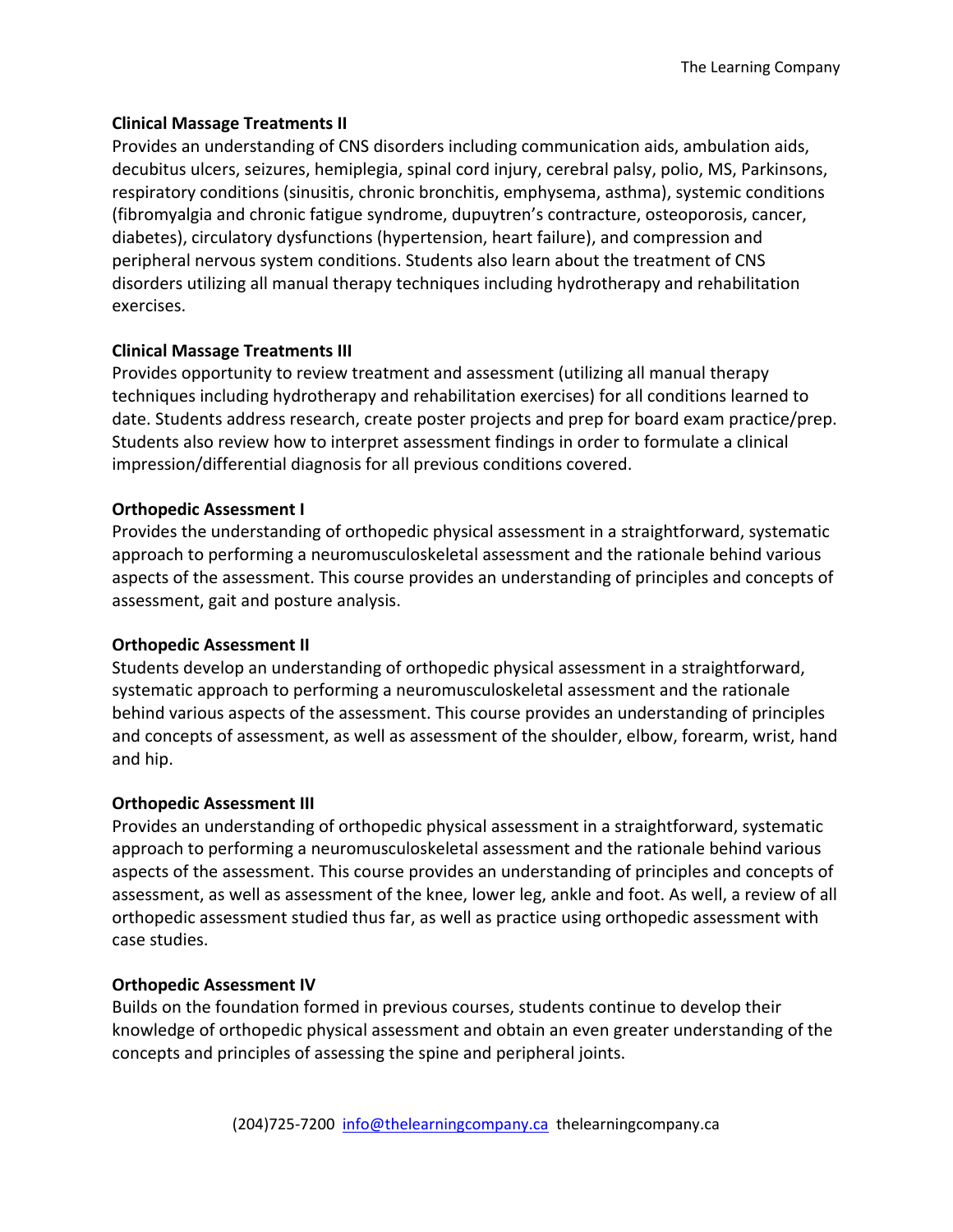# **Clinical Massage Treatments II**

Provides an understanding of CNS disorders including communication aids, ambulation aids, decubitus ulcers, seizures, hemiplegia, spinal cord injury, cerebral palsy, polio, MS, Parkinsons, respiratory conditions (sinusitis, chronic bronchitis, emphysema, asthma), systemic conditions (fibromyalgia and chronic fatigue syndrome, dupuytren's contracture, osteoporosis, cancer, diabetes), circulatory dysfunctions (hypertension, heart failure), and compression and peripheral nervous system conditions. Students also learn about the treatment of CNS disorders utilizing all manual therapy techniques including hydrotherapy and rehabilitation exercises.

# **Clinical Massage Treatments III**

Provides opportunity to review treatment and assessment (utilizing all manual therapy techniques including hydrotherapy and rehabilitation exercises) for all conditions learned to date. Students address research, create poster projects and prep for board exam practice/prep. Students also review how to interpret assessment findings in order to formulate a clinical impression/differential diagnosis for all previous conditions covered.

# **Orthopedic Assessment I**

Provides the understanding of orthopedic physical assessment in a straightforward, systematic approach to performing a neuromusculoskeletal assessment and the rationale behind various aspects of the assessment. This course provides an understanding of principles and concepts of assessment, gait and posture analysis.

## **Orthopedic Assessment II**

Students develop an understanding of orthopedic physical assessment in a straightforward, systematic approach to performing a neuromusculoskeletal assessment and the rationale behind various aspects of the assessment. This course provides an understanding of principles and concepts of assessment, as well as assessment of the shoulder, elbow, forearm, wrist, hand and hip.

## **Orthopedic Assessment III**

Provides an understanding of orthopedic physical assessment in a straightforward, systematic approach to performing a neuromusculoskeletal assessment and the rationale behind various aspects of the assessment. This course provides an understanding of principles and concepts of assessment, as well as assessment of the knee, lower leg, ankle and foot. As well, a review of all orthopedic assessment studied thus far, as well as practice using orthopedic assessment with case studies.

## **Orthopedic Assessment IV**

Builds on the foundation formed in previous courses, students continue to develop their knowledge of orthopedic physical assessment and obtain an even greater understanding of the concepts and principles of assessing the spine and peripheral joints.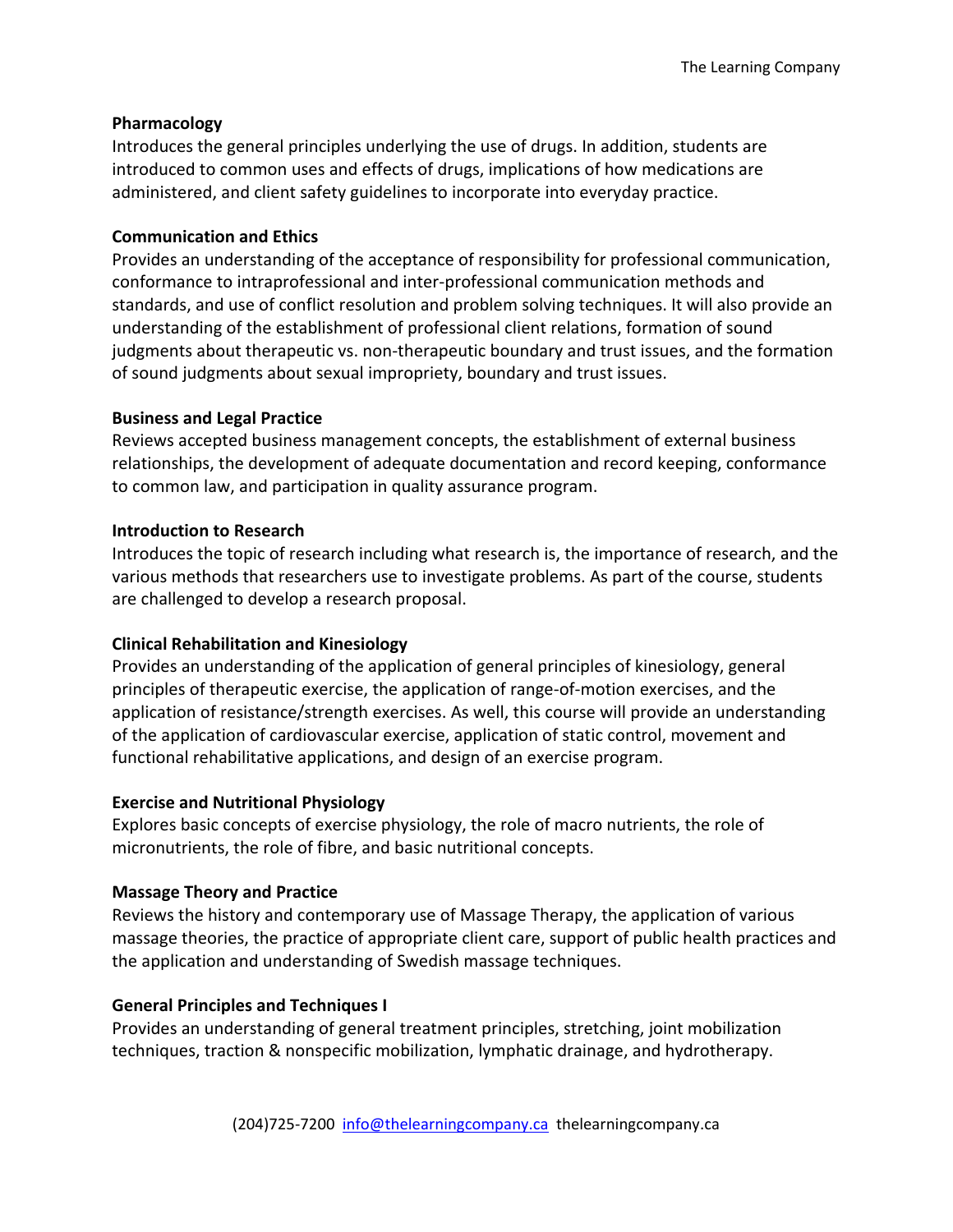# **Pharmacology**

Introduces the general principles underlying the use of drugs. In addition, students are introduced to common uses and effects of drugs, implications of how medications are administered, and client safety guidelines to incorporate into everyday practice.

## **Communication and Ethics**

Provides an understanding of the acceptance of responsibility for professional communication, conformance to intraprofessional and inter-professional communication methods and standards, and use of conflict resolution and problem solving techniques. It will also provide an understanding of the establishment of professional client relations, formation of sound judgments about therapeutic vs. non-therapeutic boundary and trust issues, and the formation of sound judgments about sexual impropriety, boundary and trust issues.

# **Business and Legal Practice**

Reviews accepted business management concepts, the establishment of external business relationships, the development of adequate documentation and record keeping, conformance to common law, and participation in quality assurance program.

# **Introduction to Research**

Introduces the topic of research including what research is, the importance of research, and the various methods that researchers use to investigate problems. As part of the course, students are challenged to develop a research proposal.

# **Clinical Rehabilitation and Kinesiology**

Provides an understanding of the application of general principles of kinesiology, general principles of therapeutic exercise, the application of range-of-motion exercises, and the application of resistance/strength exercises. As well, this course will provide an understanding of the application of cardiovascular exercise, application of static control, movement and functional rehabilitative applications, and design of an exercise program.

## **Exercise and Nutritional Physiology**

Explores basic concepts of exercise physiology, the role of macro nutrients, the role of micronutrients, the role of fibre, and basic nutritional concepts.

# **Massage Theory and Practice**

Reviews the history and contemporary use of Massage Therapy, the application of various massage theories, the practice of appropriate client care, support of public health practices and the application and understanding of Swedish massage techniques.

# **General Principles and Techniques I**

Provides an understanding of general treatment principles, stretching, joint mobilization techniques, traction & nonspecific mobilization, lymphatic drainage, and hydrotherapy.